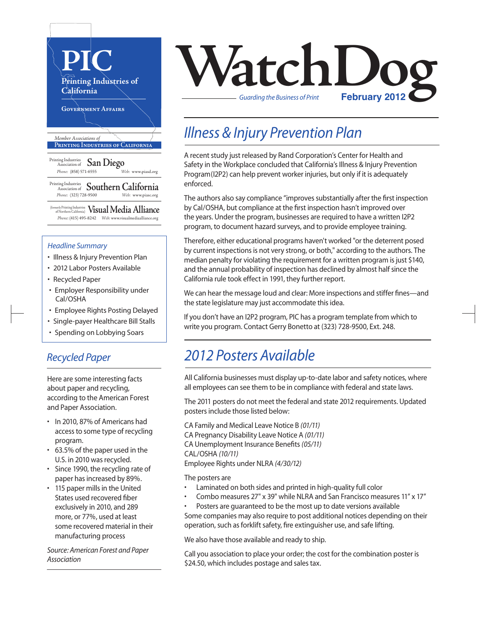

#### *Headline Summary*

- Illness & Injury Prevention Plan
- 2012 Labor Posters Available
- Recycled Paper
- Employer Responsibility under Cal/OSHA
- Employee Rights Posting Delayed
- Single-payer Healthcare Bill Stalls
- Spending on Lobbying Soars

#### *Recycled Paper*

Here are some interesting facts about paper and recycling, according to the American Forest and Paper Association.

- • In 2010, 87% of Americans had access to some type of recycling program.
- • 63.5% of the paper used in the U.S. in 2010 was recycled.
- • Since 1990, the recycling rate of paper has increased by 89%.
- $\cdot$  115 paper mills in the United States used recovered fiber exclusively in 2010, and 289 more, or 77%, used at least some recovered material in their manufacturing process

*Source: American Forest and Paper Association*

# **VatchLog** *Guarding the Business of Print*

## *Illness & Injury Prevention Plan*

A recent study just released by Rand Corporation's Center for Health and Safety in the Workplace concluded that California's Illness & Injury Prevention Program(I2P2) can help prevent worker injuries, but only if it is adequately enforced.

The authors also say compliance "improves substantially after the first inspection by Cal/OSHA, but compliance at the first inspection hasn't improved over the years. Under the program, businesses are required to have a written I2P2 program, to document hazard surveys, and to provide employee training.

Therefore, either educational programs haven't worked "or the deterrent posed by current inspections is not very strong, or both," according to the authors. The median penalty for violating the requirement for a written program is just \$140, and the annual probability of inspection has declined by almost half since the California rule took effect in 1991, they further report.

We can hear the message loud and clear: More inspections and stiffer fines—and the state legislature may just accommodate this idea.

If you don't have an I2P2 program, PIC has a program template from which to write you program. Contact Gerry Bonetto at (323) 728-9500, Ext. 248.

### *2012 Posters Available*

All California businesses must display up-to-date labor and safety notices, where all employees can see them to be in compliance with federal and state laws.

The 2011 posters do not meet the federal and state 2012 requirements. Updated posters include those listed below:

CA Family and Medical Leave Notice B *(01/11)* CA Pregnancy Disability Leave Notice A *(01/11)* CA Unemployment Insurance Benefits*(05/11)* CAL/OSHA *(10/11)* Employee Rights under NLRA *(4/30/12)*

The posters are

- Laminated on both sides and printed in high-quality full color
- Combo measures 27" x 39" while NLRA and San Francisco measures 11" x 17"
- Posters are guaranteed to be the most up to date versions available

Some companies may also require to post additional notices depending on their operation, such as forklift safety, fire extinguisher use, and safe lifting.

We also have those available and ready to ship.

Call you association to place your order; the cost for the combination poster is \$24.50, which includes postage and sales tax.